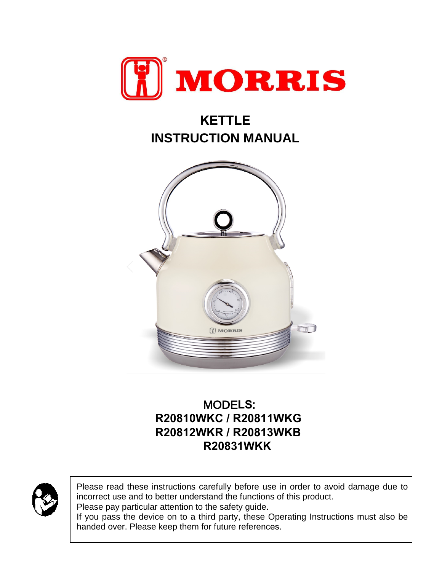

# **KETTLE INSTRUCTION MANUAL**



# MODE**LS**: **R20810WKC / R20811WKG R20812WKR / R20813WKB R20831WKK**



Please read these instructions carefully before use in order to avoid damage due to incorrect use and to better understand the functions of this product.

Please pay particular attention to the safety guide.

If you pass the device on to a third party, these Operating Instructions must also be handed over. Please keep them for future references.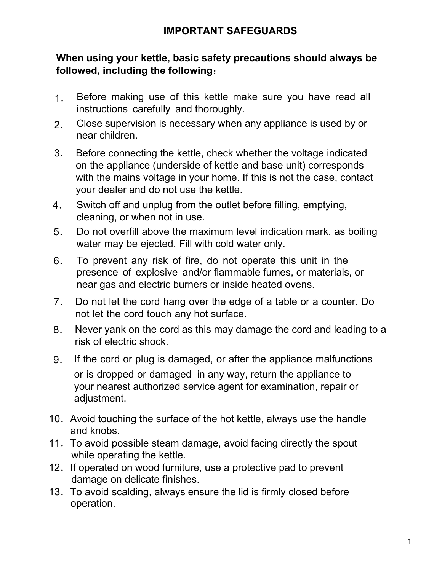# **IMPORTANT SAFEGUARDS**

## **When using your kettle, basic safety precautions should always be followed, including the following**:

- 1. Before making use of this kettle make sure you have read all instructions carefully and thoroughly.
- 2. Close supervision is necessary when any appliance is used by or near children.
- 3. Before connecting the kettle, check whether the voltage indicated on the appliance (underside of kettle and base unit) corresponds with the mains voltage in your home. If this is not the case, contact your dealer and do not use the kettle.
- 4. Switch off and unplug from the outlet before filling, emptying, cleaning, or when not in use.
- 5. Do not overfill above the maximum level indication mark, as boiling water may be ejected. Fill with cold water only.
- 6. To prevent any risk of fire, do not operate this unit in the presence of explosive and/or flammable fumes, or materials, or near gas and electric burners or inside heated ovens.
- 7. Do not let the cord hang over the edge of a table or a counter. Do not let the cord touch any hot surface.
- 8. Never yank on the cord as this may damage the cord and leading to a risk of electric shock.
- 9. If the cord or plug is damaged, or after the appliance malfunctions or is dropped or damaged in any way, return the appliance to your nearest authorized service agent for examination, repair or adjustment.
- 10. Avoid touching the surface of the hot kettle, always use the handle and knobs.
- 11.To avoid possible steam damage, avoid facing directly the spout while operating the kettle.
- 12. If operated on wood furniture, use a protective pad to prevent damage on delicate finishes.
- 13.To avoid scalding, always ensure the lid is firmly closed before operation.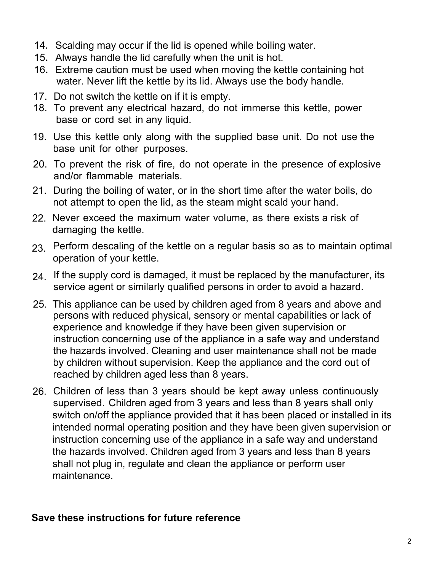- 14. Scalding may occur if the lid is opened while boiling water.
- 15. Always handle the lid carefully when the unit is hot.
- 16. Extreme caution must be used when moving the kettle containing hot water. Never lift the kettle by its lid. Always use the body handle.
- 17. Do not switch the kettle on if it is empty.
- 18. To prevent any electrical hazard, do not immerse this kettle, power base or cord set in any liquid.
- 19. Use this kettle only along with the supplied base unit. Do not use the base unit for other purposes.
- 20. To prevent the risk of fire, do not operate in the presence of explosive and/or flammable materials.
- 21. During the boiling of water, or in the short time after the water boils, do not attempt to open the lid, as the steam might scald your hand.
- 22. Never exceed the maximum water volume, as there exists a risk of damaging the kettle.
- $\mathsf{23}_{\cdot}$  Perform descaling of the kettle on a regular basis so as to maintain optimal operation of your kettle.
- 24. If the supply cord is damaged, it must be replaced by the manufacturer, its service agent or similarly qualified persons in order to avoid a hazard.
- 25. This appliance can be used by children aged from 8 years and above and persons with reduced physical, sensory or mental capabilities or lack of experience and knowledge if they have been given supervision or instruction concerning use of the appliance in a safe way and understand the hazards involved. Cleaning and user maintenance shall not be made by children without supervision. Keep the appliance and the cord out of reached by children aged less than 8 years.
- 26. Children of less than 3 years should be kept away unless continuously supervised. Children aged from 3 years and less than 8 years shall only switch on/off the appliance provided that it has been placed or installed in its intended normal operating position and they have been given supervision or instruction concerning use of the appliance in a safe way and understand the hazards involved. Children aged from 3 years and less than 8 years shall not plug in, regulate and clean the appliance or perform user maintenance.

# **Save these instructions for future reference**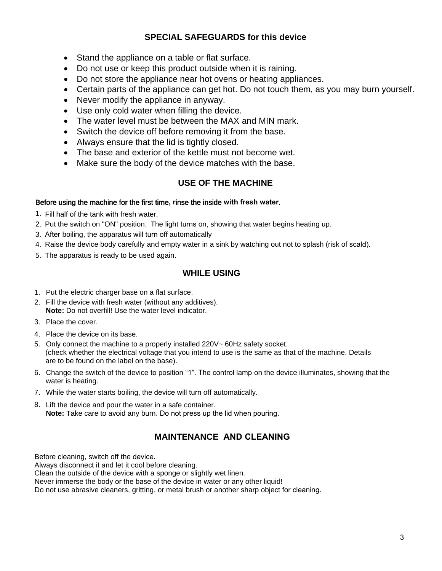#### **SPECIAL SAFEGUARDS for this device**

- Stand the appliance on a table or flat surface.
- Do not use or keep this product outside when it is raining.
- Do not store the appliance near hot ovens or heating appliances.
- Certain parts of the appliance can get hot. Do not touch them, as you may burn yourself.
- Never modify the appliance in anyway.
- Use only cold water when filling the device.
- The water level must be between the MAX and MIN mark.
- Switch the device off before removing it from the base.
- Always ensure that the lid is tightly closed.
- The base and exterior of the kettle must not become wet.
- Make sure the body of the device matches with the base.

#### **USE OF THE MACHINE**

#### Before using the machine for the first time**, r**inse the inside **with fresh water**.

- 1. Fill half of the tank with fresh water.
- 2. Put the switch on "ON" position. The light turns on, showing that water begins heating up.
- 3. After boiling, the apparatus will turn off automatically
- 4. Raise the device body carefully and empty water in a sink by watching out not to splash (risk of scald).
- 5. The apparatus is ready to be used again.

#### **WHILE USING**

- 1. Put the electric charger base on a flat surface.
- 2. Fill the device with fresh water (without any additives). **Νote:** Do not overfill! Use the water level indicator.
- 3. Place the cover.
- 4. Place the device on its base.
- 5. Only connect the machine to a properly installed 220V~ 60Hz safety socket. (check whether the electrical voltage that you intend to use is the same as that of the machine. Details are to be found on the label on the base).
- 6. Change the switch of the device to position "1". The control lamp on the device illuminates, showing that the water is heating.
- 7. While the water starts boiling, the device will turn off automatically.
- 8. Lift the device and pour the water in a safe container. **Note:** Take care to avoid any burn. Do not press up the lid when pouring.

#### **MAINTENANCE AND CLEANING**

Before cleaning, switch off the device.

Always disconnect it and let it cool before cleaning.

Clean the outside of the device with a sponge or slightly wet linen.

Never immerse the body or the base of the device in water or any other liquid!

Do not use abrasive cleaners, gritting, or metal brush or another sharp object for cleaning.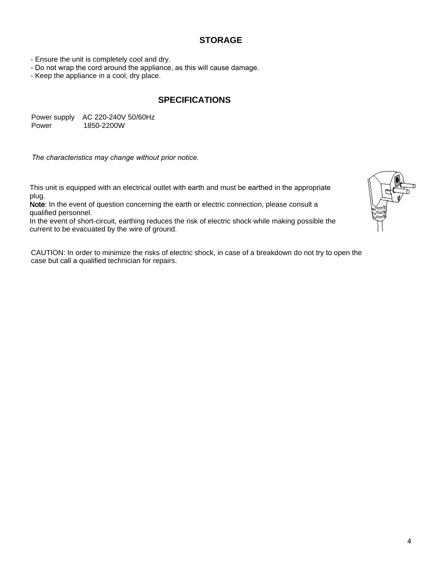#### **STORAGE**

- Ensure the unit is completely cool and dry.

- Do not wrap the cord around the appliance, as this will cause damage.

- Keep the appliance in a cool, dry place.

#### **SPECIFICATIONS**

Power supply AC 220-240V 50/60Hz Power 1850-2200W

*The characteristics may change without prior notice.*

This unit is equipped with an electrical outlet with earth and must be earthed in the appropriate plug.

Note: In the event of question concerning the earth or electric connection, please consult a qualified personnel.

In the event of short-circuit, earthing reduces the risk of electric shock while making possible the current to be evacuated by the wire of ground.

CAUTION: In order to minimize the risks of electric shock, in case of a breakdown do not try to open the case but call a qualified technician for repairs.